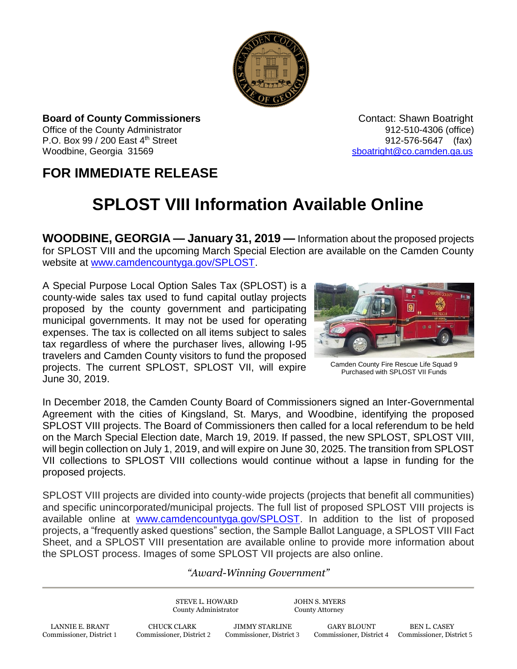

**Board of County Commissioners Contact: Shawn Boatright Contact: Shawn Boatright** Office of the County Administrator 912-510-4306 (office) P.O. Box 99 / 200 East 4<sup>th</sup> Street 912-576-5647 (fax) Woodbine, Georgia 31569 [sboatright@co.camden.ga.us](mailto:sboatright@co.camden.ga.us)

## **FOR IMMEDIATE RELEASE**

## **SPLOST VIII Information Available Online**

**WOODBINE, GEORGIA — January 31, 2019 —** Information about the proposed projects for SPLOST VIII and the upcoming March Special Election are available on the Camden County website at [www.camdencountyga.gov/SPLOST.](http://www.camdencountyga.gov/SPLOST)

A Special Purpose Local Option Sales Tax (SPLOST) is a county-wide sales tax used to fund capital outlay projects proposed by the county government and participating municipal governments. It may not be used for operating expenses. The tax is collected on all items subject to sales tax regardless of where the purchaser lives, allowing I-95 travelers and Camden County visitors to fund the proposed projects. The current SPLOST, SPLOST VII, will expire June 30, 2019.



Camden County Fire Rescue Life Squad 9 Purchased with SPLOST VII Funds

In December 2018, the Camden County Board of Commissioners signed an Inter-Governmental Agreement with the cities of Kingsland, St. Marys, and Woodbine, identifying the proposed SPLOST VIII projects. The Board of Commissioners then called for a local referendum to be held on the March Special Election date, March 19, 2019. If passed, the new SPLOST, SPLOST VIII, will begin collection on July 1, 2019, and will expire on June 30, 2025. The transition from SPLOST VII collections to SPLOST VIII collections would continue without a lapse in funding for the proposed projects.

SPLOST VIII projects are divided into county-wide projects (projects that benefit all communities) and specific unincorporated/municipal projects. The full list of proposed SPLOST VIII projects is available online at [www.camdencountyga.gov/SPLOST.](http://www.camdencountyga.gov/SPLOST) In addition to the list of proposed projects, a "frequently asked questions" section, the Sample Ballot Language, a SPLOST VIII Fact Sheet, and a SPLOST VIII presentation are available online to provide more information about the SPLOST process. Images of some SPLOST VII projects are also online.

## *"Award-Winning Government"*

STEVE L. HOWARD JOHN S. MYERS County Administrator County Attorney LANNIE E. BRANT CHUCK CLARK JIMMY STARLINE GARY BLOUNT BEN L. CASEY Commissioner, District 1 Commissioner, District 2 Commissioner, District 3 Commissioner, District 4 Commissioner, District 1 Commissioner, District 4 Commissioner, District 5